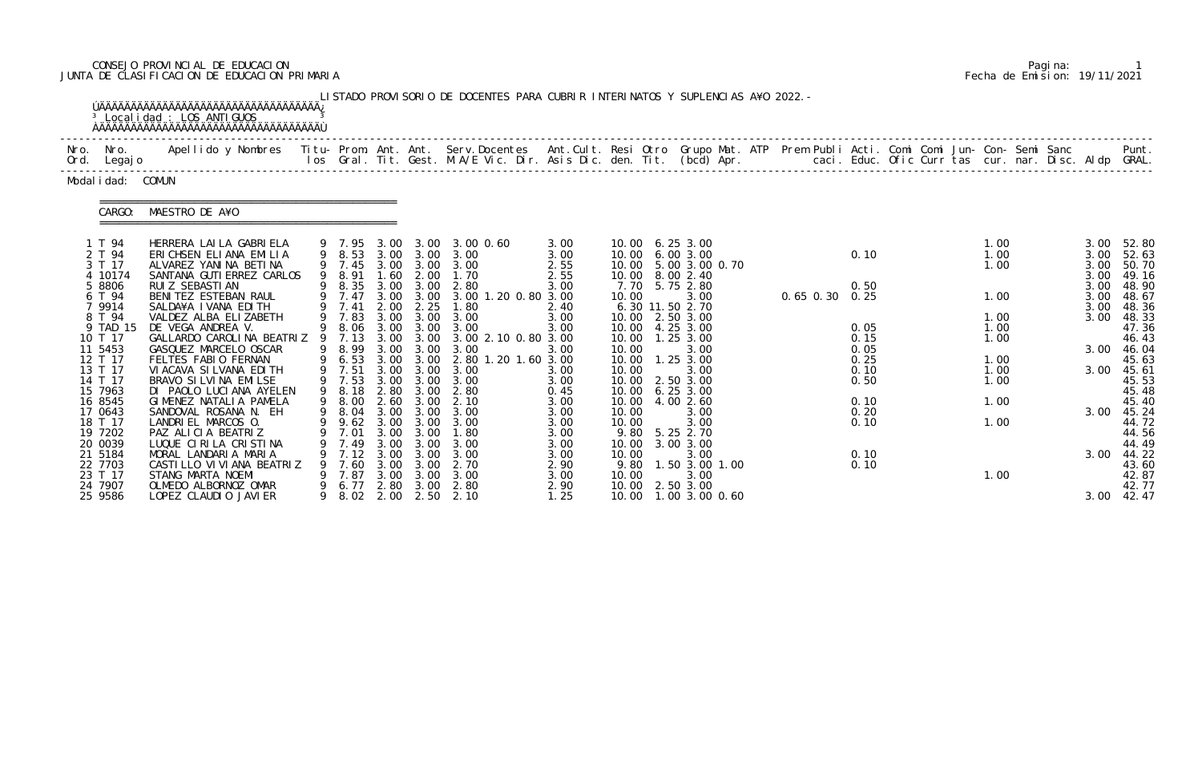# CONSEJO PROVINCIAL DE EDUCACION Pagina: 1 JUNTA DE CLASIFICACION DE EDUCACION PRIMARIA Fecha de Emision: 19/11/2021

|              |                                                         | <sup>3</sup> Local i dad : LOS ANTI GUOS<br><u>ŇÄÄÄÄÄÄÄÄÄÄÄÄÄÄÄÄÄÄÄÄÄÄÄÄÄÄÄÄÄÄÄÄÄÄ</u>                                                               |   |                                                        |                              |                                                | LISTADO PROVISORIO DE DOCENTES PARA CUBRIR INTERINATOS Y SUPLENCIAS A¥O 2022. -                                                |                                      |                                  |                                                                         |                                     |                                                |  |                |                              |  |                              |  |                                              |                                                    |
|--------------|---------------------------------------------------------|------------------------------------------------------------------------------------------------------------------------------------------------------|---|--------------------------------------------------------|------------------------------|------------------------------------------------|--------------------------------------------------------------------------------------------------------------------------------|--------------------------------------|----------------------------------|-------------------------------------------------------------------------|-------------------------------------|------------------------------------------------|--|----------------|------------------------------|--|------------------------------|--|----------------------------------------------|----------------------------------------------------|
| Nro.<br>Ord. | Nro.<br>Legaj o                                         | Apellido y Nombres Titu- Prom. Ant. Ant. Serv.Docentes Ant.Cult. Resi Otro Grupo Mat. ATP Prem Publi Acti. Comi Comi Jun- Con- Semi Sanc             |   |                                                        |                              |                                                | los Gral. Tit. Gest. M.A/E Vic. Dir. Asis Dic. den. Tit. (bcd) Apr.       caci. Educ. Ofic Curr tas cur. nar. Disc. Aldp GRAL. |                                      |                                  |                                                                         |                                     |                                                |  |                |                              |  |                              |  |                                              | Punt.                                              |
|              | Modal i dad: COMUN                                      |                                                                                                                                                      |   |                                                        |                              |                                                |                                                                                                                                |                                      |                                  |                                                                         |                                     |                                                |  |                |                              |  |                              |  |                                              |                                                    |
|              | CARGO:                                                  | MAESTRO DE A¥O                                                                                                                                       |   |                                                        |                              |                                                |                                                                                                                                |                                      |                                  |                                                                         |                                     |                                                |  |                |                              |  |                              |  |                                              |                                                    |
|              | 1 T 94<br>2 T 94<br>3 T 17<br>10174<br>5 8806<br>6 T 94 | HERRERA LAI LA GABRI ELA<br>ERICHSEN ELIANA EMILIA<br>ALVAREZ YANINA BETINA<br>SANTANA GUTI ERREZ CARLOS<br>RUI Z SEBASTI AN<br>BENITEZ ESTEBAN RAUL |   | 9 7.95<br>9 8.53<br>9 7.45<br>8.91<br>9 8.35<br>9 7.47 | 3.00<br>1.60<br>3.00         | 3.00<br>2.00<br>3.00<br>3.00 3.00              | 3.00 0.60<br>3.00 3.00 3.00<br>3.00 3.00 3.00<br>1.70<br>2.80<br>3.00 1.20 0.80 3.00                                           | 3.00<br>3.00<br>2.55<br>2.55<br>3.00 | 10.00                            | 10.00 6.25 3.00<br>10.00 6.00 3.00<br>10.00 8.00 2.40<br>7.70 5.75 2.80 |                                     | 10.00 5.00 3.00 0.70<br>3.00                   |  | 0.65 0.30 0.25 | 0.10<br>0.50                 |  | 1.00<br>1.00<br>1.00<br>1.00 |  | 3.00<br>3.00<br>3.00<br>3.00<br>3.00<br>3.00 | 52.80<br>52.63<br>50.70<br>49.16<br>48.90<br>48.67 |
|              | 7 9914<br>8 T 94<br>9 TAD 15<br>10 T 17<br>11 5453      | SALDA¥A I VANA EDI TH<br>VALDEZ ALBA ELIZABETH<br>DE VEGA ANDREA V.<br>GALLARDO CAROLINA BEATRIZ 9 7.13<br>GASQUEZ MARCELO OSCAR                     | 9 | 9 7.41<br>9 7.83<br>8.06<br>9 8.99                     | 2.00<br>3.00<br>3.00<br>3.00 | 2.25<br>3.00<br>3.00 3.00<br>3.00<br>3.00      | 1.80<br>3.00<br>3.00<br>3.00 2.10 0.80 3.00<br>3.00                                                                            | 2.40<br>3.00<br>3.00<br>3.00         | 10.00<br>10.00                   | 6.30 11.50 2.70<br>10.00 2.50 3.00<br>10.00 4.25 3.00                   | $1.25$ 3.00                         | 3.00                                           |  |                | 0.05<br>0.15<br>0.05         |  | 1.00<br>1.00<br>1.00         |  | 3.00<br>3.00<br>3.00                         | 48.36<br>48.33<br>47.36<br>46.43<br>46.04          |
|              | 12 T 17<br>13 T 17<br>14 T 17<br>15 7963<br>16 8545     | FELTES FABIO FERNAN<br>VI ACAVA SI LVANA EDI TH<br>BRAVO SI LVI NA EMILSE<br>DI PAOLO LUCIANA AYELEN<br>GIMENEZ NATALIA PAMELA                       |   | 9 6.53<br>9 7.51<br>9 7.53<br>9 8.18<br>9 8.00         | 3.00<br>3.00<br>2.60         | 3.00 3.00<br>3.00<br>3.00<br>2.80 3.00<br>3.00 | 2.80 1.20 1.60 3.00<br>3.00<br>3.00<br>2.80<br>2.10                                                                            | 3.00<br>3.00<br>0.45<br>3.00         | 10.00<br>10.00<br>10.00<br>10.00 | 10.00 6.25 3.00                                                         | 1.25 3.00<br>2.50 3.00<br>4.00 2.60 | 3.00                                           |  |                | 0.25<br>0.10<br>0.50<br>0.10 |  | 1.00<br>1.00<br>1.00<br>1.00 |  | 3.00                                         | 45.63<br>45.61<br>45.53<br>45.48<br>45.40          |
|              | 17 0643<br>18 T 17<br>19 7202<br>20 0039<br>21 5184     | SANDOVAL ROSANA N. EH<br>LANDRIEL MARCOS O.<br>PAZ ALICIA BEATRIZ<br>LUQUE CIRILA CRISTINA<br>MORAL LANDARIA MARIA                                   |   | 9 8.04 3.00 3.00<br>9 9.62<br>7.01<br>7.49<br>7.12     | 3.00<br>3.00<br>3.00         | 3.00 3.00<br>3.00<br>3.00<br>3.00              | 3.00<br>3.00<br>1. 80<br>3.00<br>3.00                                                                                          | 3.00<br>3.00<br>3.00<br>3.00<br>3.00 | 10.00<br>10.00<br>10.00<br>10.00 | 9.80 5.25 2.70                                                          | 3.00 3.00                           | 3.00<br>3.00<br>3.00                           |  |                | 0.20<br>0.10<br>0.10         |  | 1.00                         |  | 3.00<br>3.00                                 | 45.24<br>44.72<br>44.56<br>44.49<br>44.22          |
|              | 22 7703<br>23 T 17<br>24 7907<br>25 9586                | CASTILLO VI VI ANA BEATRIZ<br>STANG MARTA NOEMI<br>OLMEDO ALBORNOZ OMAR<br>LOPEZ CLAUDIO JAVIER                                                      |   | 7.60<br>7.87<br>6.77<br>9 8.02                         | 3.00<br>3.00<br>2.80<br>2.00 | 3.00<br>3.00<br>3.00<br>2.50                   | 2.70<br>3.00<br>2.80<br>2.10                                                                                                   | 2.90<br>3.00<br>2.90<br>1.25         | 9.80<br>10.00<br>10.00           |                                                                         | 2.50 3.00                           | 1.50 3.00 1.00<br>3.00<br>10.00 1.00 3.00 0.60 |  |                | 0.10                         |  | 1.00                         |  |                                              | 43.60<br>42.87<br>42.77<br>$3.00$ 42.47            |

|  | Pagi na: |                              |
|--|----------|------------------------------|
|  |          | Fecha de Emision: 19/11/2021 |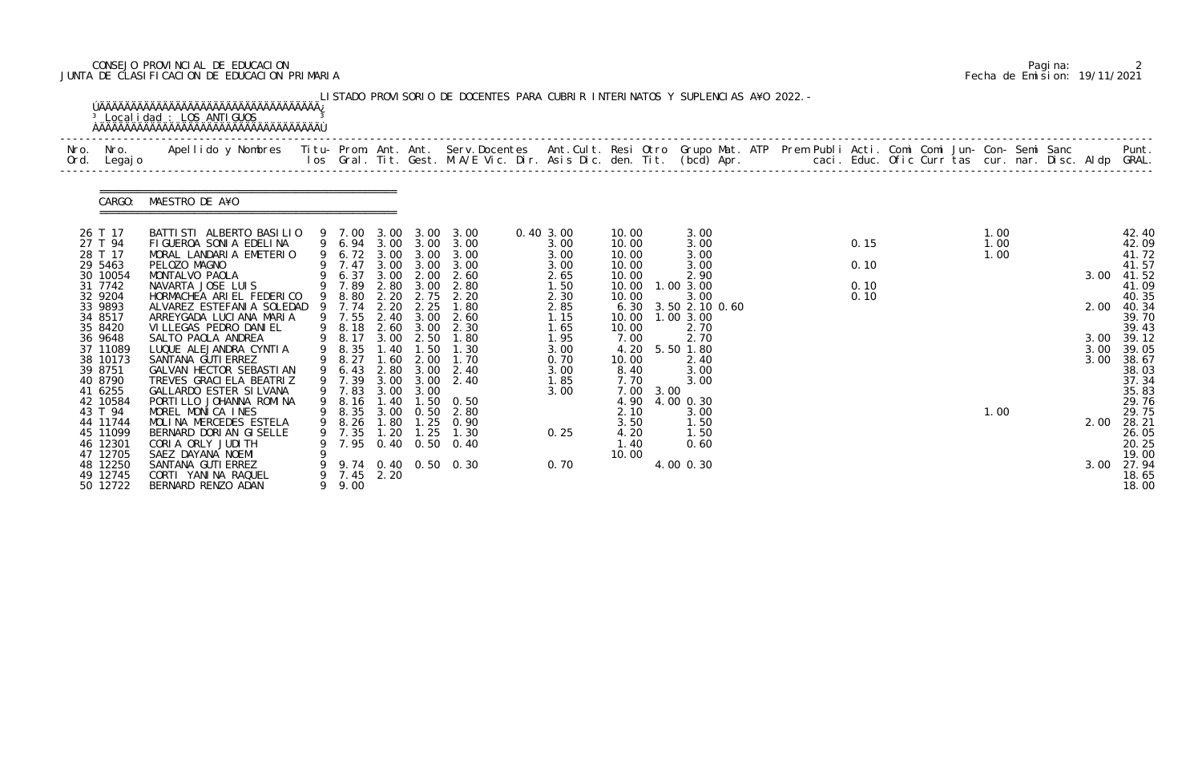## CONSEJO PROVINCIAL DE EDUCACION Pagina: 2 JUNTA DE CLASIFICACION DE EDUCACION PRIMARIA Fecha de Emision: 19/11/2021

| Nro.<br>Ord. | Nro.<br>Legaj o      | Apellido y Nombres  Titu- Prom. Ant. Ant. Serv.Docentes  Ant.Cult. Resi Otro Grupo Mat. ATP Prem Publi Acti. Comi Comi Jun- Con- Semi Sanc           Punt.<br>Ios Gral. Tit. Gest. M.A/E Vic. Dir. Asis Dic. den. Tit. (bcd) Apr. |   |                  |       |                        |                                                |                   |                |      |                |  |      |  |              |  |      |                |
|--------------|----------------------|-----------------------------------------------------------------------------------------------------------------------------------------------------------------------------------------------------------------------------------|---|------------------|-------|------------------------|------------------------------------------------|-------------------|----------------|------|----------------|--|------|--|--------------|--|------|----------------|
|              | CARGO:               | MAESTRO DE A¥O                                                                                                                                                                                                                    |   |                  |       |                        |                                                |                   |                |      |                |  |      |  |              |  |      |                |
|              | 26 T 17<br>27 T 94   | BATTI STI ALBERTO BASILIO<br>FIGUEROA SONIA EDELINA                                                                                                                                                                               |   |                  |       |                        | 9 7.00 3.00 3.00 3.00                          | 0.40 3.00<br>3.00 | 10.00<br>10.00 |      | 3.00<br>3.00   |  | 0.15 |  | 1.00<br>1.00 |  |      | 42.40<br>42.09 |
|              | 28 T 17              | MORAL LANDARIA EMETERIO                                                                                                                                                                                                           |   |                  |       |                        | 9 6.94 3.00 3.00 3.00<br>9 6.72 3.00 3.00 3.00 | 3.00              | 10.00          |      | 3.00           |  |      |  | 1.00         |  |      | 41.72          |
|              | 29 5463<br>30 10054  | PELOZO MAGNO<br>MONTALVO PAOLA                                                                                                                                                                                                    |   | 9 7.47           | 3.00  | 3.00                   | 3.00<br>2.60                                   | 3.00<br>2.65      | 10.00<br>10.00 |      | 3.00<br>2.90   |  | 0.10 |  |              |  | 3.00 | 41.57<br>41.52 |
|              | 31 7742              | NAVARTA JOSE LUIS                                                                                                                                                                                                                 |   | 6.37<br>9 7.89   |       | 3.00 2.00<br>2.80 3.00 | 2.80                                           | 1.50              | 10.00          |      | 1.00 3.00      |  | 0.10 |  |              |  |      | 41.09          |
|              | 32 9204              | HORMACHEA ARIEL FEDERICO                                                                                                                                                                                                          |   | 9 8.80           | 2.20  | 2.75                   | 2.20                                           | 2.30              | 10.00          |      | 3.00           |  | 0.10 |  |              |  |      | 40.35          |
|              | 33 9893              | ALVAREZ ESTEFANIA SOLEDAD 9 7.74                                                                                                                                                                                                  |   |                  | 2.20  | 2.25                   | 1.80                                           | 2.85              | 6.30           |      | 3.50 2.10 0.60 |  |      |  |              |  | 2.00 | 40.34          |
|              | 34 8517              | ARREYGADA LUCIANA MARIA<br>VI LLEGAS PEDRO DANI EL                                                                                                                                                                                |   | 9 7.55           | 2.40  | 3.00                   | 2.60                                           | 1.15              | 10.00          |      | 1.003.00       |  |      |  |              |  |      | 39.70          |
|              | 35 8420<br>36 9648   | SALTO PAOLA ANDREA                                                                                                                                                                                                                | 9 | 8.18<br>9 8.17   | 2.60  | 3.00<br>3.00 2.50      | 2.30<br>1.80                                   | 1.65<br>1.95      | 10.00<br>7.00  |      | 2.70<br>2.70   |  |      |  |              |  | 3.00 | 39.43<br>39.12 |
|              | 37 11089             | LUQUE ALEJANDRA CYNTIA                                                                                                                                                                                                            |   | 8.35             | .40   | $\overline{.50}$       | 1.30                                           | 3.00              | 4.20           |      | 5.50 1.80      |  |      |  |              |  | 3.00 | 39.05          |
|              | 38 10173             | SANTANA GUTI ERREZ                                                                                                                                                                                                                |   | 8.27             | 1.60  | 2.00                   | 1.70                                           | 0.70              | 10.00          |      | 2.40           |  |      |  |              |  | 3.00 | 38.67          |
|              | 39 8751              | GALVAN HECTOR SEBASTIAN                                                                                                                                                                                                           | 9 | 6.43             |       | 2.80 3.00              | 2.40                                           | 3.00              | 8.40           |      | 3.00           |  |      |  |              |  |      | 38.03          |
|              | 40 8790              | TREVES GRACI ELA BEATRIZ                                                                                                                                                                                                          |   | 7.39             | 3.00  | 3.00                   | 2.40                                           | 1.85              | 7.70           |      | 3.00           |  |      |  |              |  |      | 37.34          |
|              | 41 6255<br>42 10584  | GALLARDO ESTER SILVANA<br>PORTILLO JOHANNA ROMINA                                                                                                                                                                                 |   | 9 7.83<br>9 8.16 | 3.00  | 3.00<br>1.40 1.50      | 0. 50                                          | 3.00              | 7.00<br>4.90   | 3.00 | 4.00 0.30      |  |      |  |              |  |      | 35.83<br>29.76 |
|              | 43 T 94              | MOREL MONICA INES                                                                                                                                                                                                                 |   | 9 8.35           | 3.00  | 0.50                   | 2.80                                           |                   | 2.10           |      | 3.00           |  |      |  | 1.00         |  |      | 29.75          |
|              | 44 11744             | MOLINA MERCEDES ESTELA                                                                                                                                                                                                            |   | 9 8.26           | 1.80  | 1.25                   | 0.90                                           |                   | 3.50           |      | 1.50           |  |      |  |              |  | 2.00 | 28.21          |
|              | 45 11099             | BERNARD DORI AN GISELLE                                                                                                                                                                                                           |   | 7.35             |       | $1.20$ $1.25$          | 1.30                                           | 0.25              | 4.20           |      | 1.50           |  |      |  |              |  |      | 26.05          |
|              | 46 12301             | CORIA ORLY JUDITH                                                                                                                                                                                                                 |   |                  |       |                        | 7.95 0.40 0.50 0.40                            |                   | 1.40           |      | 0.60           |  |      |  |              |  |      | 20.25          |
|              | 47 12705             | SAEZ DAYANA NOEMI                                                                                                                                                                                                                 |   |                  |       |                        |                                                |                   | 10.00          |      |                |  |      |  |              |  |      | 19.00          |
|              | 48 12250<br>49 12745 | SANTANA GUTI ERREZ<br>CORTI YANINA RAQUEL                                                                                                                                                                                         |   | 7.45             | 2. 20 |                        | 9.74 0.40 0.50 0.30                            | 0.70              |                |      | 4.00 0.30      |  |      |  |              |  | 3.00 | 27.94<br>18.65 |
|              | 50 12722             | BERNARD RENZO ADAN                                                                                                                                                                                                                | 9 | 9.00             |       |                        |                                                |                   |                |      |                |  |      |  |              |  |      | 18.00          |

|  | Pagi na: |                              |
|--|----------|------------------------------|
|  |          | Fecha de Emision: 19/11/2021 |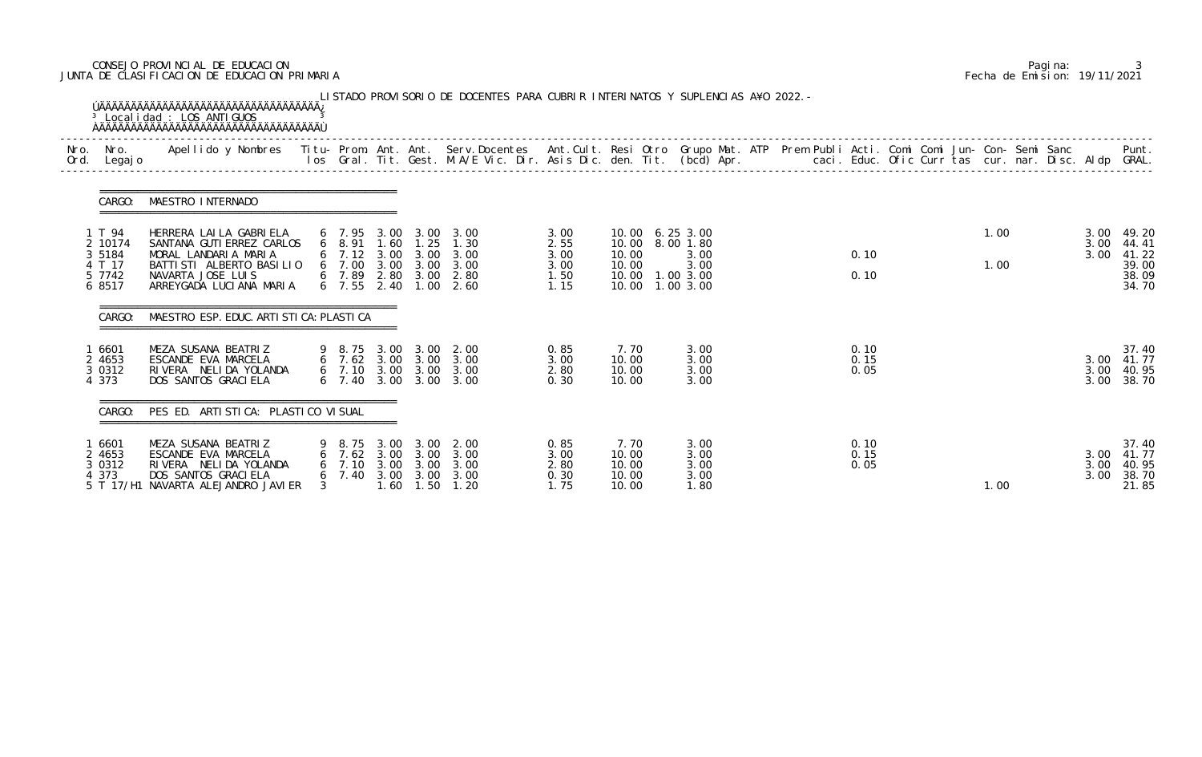## CONSEJO PROVINCIAL DE EDUCACION Pagina: 3 JUNTA DE CLASIFICACION DE EDUCACION PRIMARIA Fecha de Emision: 19/11/2021

| Nro. | Nro.<br>Ord. Legajo                                          | Apellido y Nombres - Titu- Prom. Ant. Ant. Serv.Docentes - Ant.Cult. Resi Otro Grupo Mat. ATP Prem Publi Acti. Comi Comi Jun- Con- Semi Sanc - - - Punt.<br>Ios Gral. Tit. Gest. M.A/E Vic. Dir. Asis Dic. den. Tit. (bcd) Apr. - |                      |                               |                                      |                                      |                                                                                                                                                    |                                              |                                                                                              |                                      |  |                      |  |              |  |                      |                                                    |
|------|--------------------------------------------------------------|-----------------------------------------------------------------------------------------------------------------------------------------------------------------------------------------------------------------------------------|----------------------|-------------------------------|--------------------------------------|--------------------------------------|----------------------------------------------------------------------------------------------------------------------------------------------------|----------------------------------------------|----------------------------------------------------------------------------------------------|--------------------------------------|--|----------------------|--|--------------|--|----------------------|----------------------------------------------------|
|      | CARGO:                                                       | MAESTRO INTERNADO                                                                                                                                                                                                                 |                      |                               |                                      |                                      |                                                                                                                                                    |                                              |                                                                                              |                                      |  |                      |  |              |  |                      |                                                    |
|      | 1 T 94<br>2 10174<br>3 5 1 8 4<br>4 T 17<br>5 7742<br>6 8517 | HERRERA LAILA GABRIELA<br>SANTANA GUTI ERREZ CARLOS<br>MORAL LANDARIA MARIA<br>BATTI STI ALBERTO BASI LIO<br>NAVARTA JOSE LUIS<br>ARREYGADA LUCIANA MARIA                                                                         |                      |                               |                                      |                                      | 6 7.95 3.00 3.00 3.00<br>6 8.91 1.60 1.25 1.30<br>6 7.12 3.00 3.00 3.00<br>6 7.00 3.00 3.00 3.00<br>6 7.89 2.80 3.00 2.80<br>6 7.55 2.40 1.00 2.60 | 3.00<br>2.55<br>3.00<br>3.00<br>1.50<br>1.15 | 10.00 6.25 3.00<br>10.00 8.00 1.80<br>10.00<br>10.00<br>10.00  1.00  3.00<br>10.00 1.00 3.00 | 3.00<br>3.00                         |  | 0.10<br>0.10         |  | 1.00<br>1.00 |  | 3.00<br>3.00<br>3.00 | 49.20<br>44.41<br>41.22<br>39.00<br>38.09<br>34.70 |
|      | CARGO:                                                       | MAESTRO ESP. EDUC. ARTI STI CA: PLASTI CA                                                                                                                                                                                         |                      |                               |                                      |                                      |                                                                                                                                                    |                                              |                                                                                              |                                      |  |                      |  |              |  |                      |                                                    |
|      | 6601<br>2 4653<br>3 0 3 1 2<br>4 373                         | MEZA SUSANA BEATRIZ<br>ESCANDE EVA MARCELA<br>RIVERA NELIDA YOLANDA<br>DOS SANTOS GRACI ELA                                                                                                                                       |                      |                               |                                      | 6 7.40 3.00 3.00                     | 9 8.75 3.00 3.00 2.00<br>6 7.62 3.00 3.00 3.00<br>6 7.10 3.00 3.00 3.00<br>3.00                                                                    | 0.85<br>3.00<br>2.80<br>0.30                 | 7.70<br>10.00<br>10.00<br>10.00                                                              | 3.00<br>3.00<br>3.00<br>3.00         |  | 0.10<br>0.15<br>0.05 |  |              |  | 3.00<br>3.00<br>3.00 | 37.40<br>41.77<br>40.95<br>38.70                   |
|      | CARGO:                                                       | PES ED. ARTISTICA: PLASTICO VISUAL                                                                                                                                                                                                |                      |                               |                                      |                                      |                                                                                                                                                    |                                              |                                                                                              |                                      |  |                      |  |              |  |                      |                                                    |
|      | 6601<br>2 4653<br>3 0 3 1 2<br>4 373<br>5 T 17/H1            | MEZA SUSANA BEATRIZ<br>ESCANDE EVA MARCELA<br>RIVERA NELIDA YOLANDA<br>DOS SANTOS GRACI ELA<br>NAVARTA ALEJANDRO JAVI ER                                                                                                          | $\sigma$<br>$\sigma$ | 8. 75<br>7.62<br>7.10<br>7.40 | 3.00<br>3.00<br>3.00<br>3.00<br>1.60 | 3.00<br>3.00<br>3.00<br>3.00<br>1.50 | 2.00<br>3.00<br>3.00<br>3.00<br>1.20                                                                                                               | 0.85<br>3.00<br>2.80<br>0.30<br>1.75         | 7.70<br>10.00<br>10.00<br>10.00<br>10.00                                                     | 3.00<br>3.00<br>3.00<br>3.00<br>1.80 |  | 0.10<br>0.15<br>0.05 |  | 1.00         |  | 3.00<br>3.00<br>3.00 | 37.40<br>41.77<br>40.95<br>38.70<br>21.85          |

|  | Pagi na: |                              |
|--|----------|------------------------------|
|  |          | Fecha de Emision: 19/11/2021 |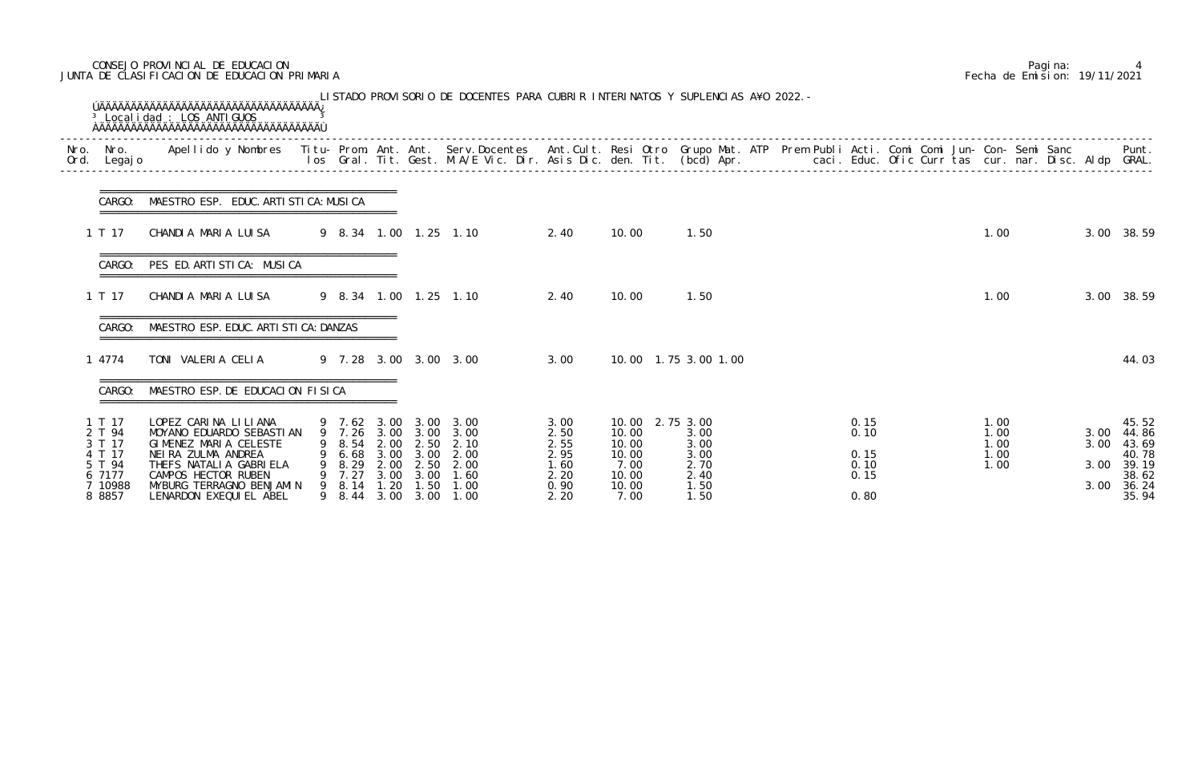## CONSEJO PROVINCIAL DE EDUCACION Pagina: 4 JUNTA DE CLASIFICACION DE EDUCACION PRIMARIA Fecha de Emision: 19/11/2021

| Ord. | Nro. Nro.<br>Legaj o                                                             | Apellido y Nombres - Titu- Prom. Ant. Ant. Serv.Docentes - Ant.Cult. Resi Otro Grupo Mat. ATP Prem Publi Acti. Comi Comi Jun- Con- Semi Sanc - - - Punt.<br>Ios Gral. Tit. Gest. M.A/E Vic. Dir. Asis Dic. den. Tit. (bcd) Apr. - |              |                                                               |                                              |                                                      |                                                                               |                                                              |                                                                              |                                                      |  |                                              |  |                                      |  |                      |                                                                           |
|------|----------------------------------------------------------------------------------|-----------------------------------------------------------------------------------------------------------------------------------------------------------------------------------------------------------------------------------|--------------|---------------------------------------------------------------|----------------------------------------------|------------------------------------------------------|-------------------------------------------------------------------------------|--------------------------------------------------------------|------------------------------------------------------------------------------|------------------------------------------------------|--|----------------------------------------------|--|--------------------------------------|--|----------------------|---------------------------------------------------------------------------|
|      | CARGO:                                                                           | MAESTRO ESP. EDUC. ARTI STI CA: MUSI CA                                                                                                                                                                                           |              |                                                               |                                              |                                                      |                                                                               |                                                              |                                                                              |                                                      |  |                                              |  |                                      |  |                      |                                                                           |
|      | 1 T 17                                                                           | CHANDIA MARIA LUISA                                                                                                                                                                                                               |              |                                                               |                                              |                                                      | 9 8.34 1.00 1.25 1.10                                                         | 2.40                                                         | 10.00                                                                        | 1.50                                                 |  |                                              |  | 1.00                                 |  |                      | 3.00 38.59                                                                |
|      | CARGO:                                                                           | PES ED. ARTISTICA: MUSICA                                                                                                                                                                                                         |              |                                                               |                                              |                                                      |                                                                               |                                                              |                                                                              |                                                      |  |                                              |  |                                      |  |                      |                                                                           |
|      | 1 T 17                                                                           | CHANDIA MARIA LUISA                                                                                                                                                                                                               |              |                                                               |                                              |                                                      | 9 8.34 1.00 1.25 1.10                                                         | 2.40                                                         | 10.00                                                                        | 1.50                                                 |  |                                              |  | 1.00                                 |  |                      | 3.00 38.59                                                                |
|      | $CARGO^+$                                                                        | MAESTRO ESP. EDUC. ARTI STI CA: DANZAS                                                                                                                                                                                            |              |                                                               |                                              |                                                      |                                                                               |                                                              |                                                                              |                                                      |  |                                              |  |                                      |  |                      |                                                                           |
|      | 1 4774                                                                           | TONI VALERIA CELIA                                                                                                                                                                                                                |              |                                                               |                                              |                                                      | 9 7.28 3.00 3.00 3.00                                                         | 3.00                                                         |                                                                              | 10,00 1,75 3,00 1,00                                 |  |                                              |  |                                      |  |                      | 44.03                                                                     |
|      | CARGO:                                                                           | MAESTRO ESP. DE EDUCACION FISICA                                                                                                                                                                                                  |              |                                                               |                                              |                                                      |                                                                               |                                                              |                                                                              |                                                      |  |                                              |  |                                      |  |                      |                                                                           |
|      | 1 T 17<br>2 T 94<br>3 T 17<br>4 T 17<br>5 T 94<br>6 7177<br>7 10988<br>8 8 8 5 7 | LOPEZ CARINA LILIANA<br>MOYANO EDUARDO SEBASTIAN<br>GIMENEZ MARIA CELESTE<br>NEIRA ZULMA ANDREA<br>THEFS NATALIA GABRIELA<br>CAMPOS HECTOR RUBEN<br>MYBURG TERRAGNO BENJAMIN<br>LENARDON EXEQUIEL ABEL                            | 9<br>9.<br>9 | 7. 26<br>8. 54<br>6.68<br>8.29<br>7.27<br>8.14<br>9 8.44 3.00 | 3.00<br>2.00<br>3.00<br>2.00<br>3.00<br>1.20 | 3.00<br>2.50<br>3.00<br>2.50<br>3.00<br>1.50<br>3.00 | 9 7.62 3.00 3.00 3.00<br>3.00<br>2.10<br>2.00<br>2.00<br>1.60<br>1.00<br>1.00 | 3.00<br>2.50<br>2.55<br>2.95<br>1.60<br>2.20<br>0.90<br>2.20 | 10.00 2.75 3.00<br>10.00<br>10.00<br>10.00<br>7.00<br>10.00<br>10.00<br>7.00 | 3.00<br>3.00<br>3.00<br>2.70<br>2.40<br>1.50<br>1.50 |  | 0.15<br>0.10<br>0.15<br>0.10<br>0.15<br>0.80 |  | 1.00<br>1.00<br>1.00<br>1.00<br>1.00 |  | 3.00<br>3.00<br>3.00 | 45.52<br>3.00 44.86<br>43.69<br>40.78<br>39.19<br>38.62<br>36.24<br>35.94 |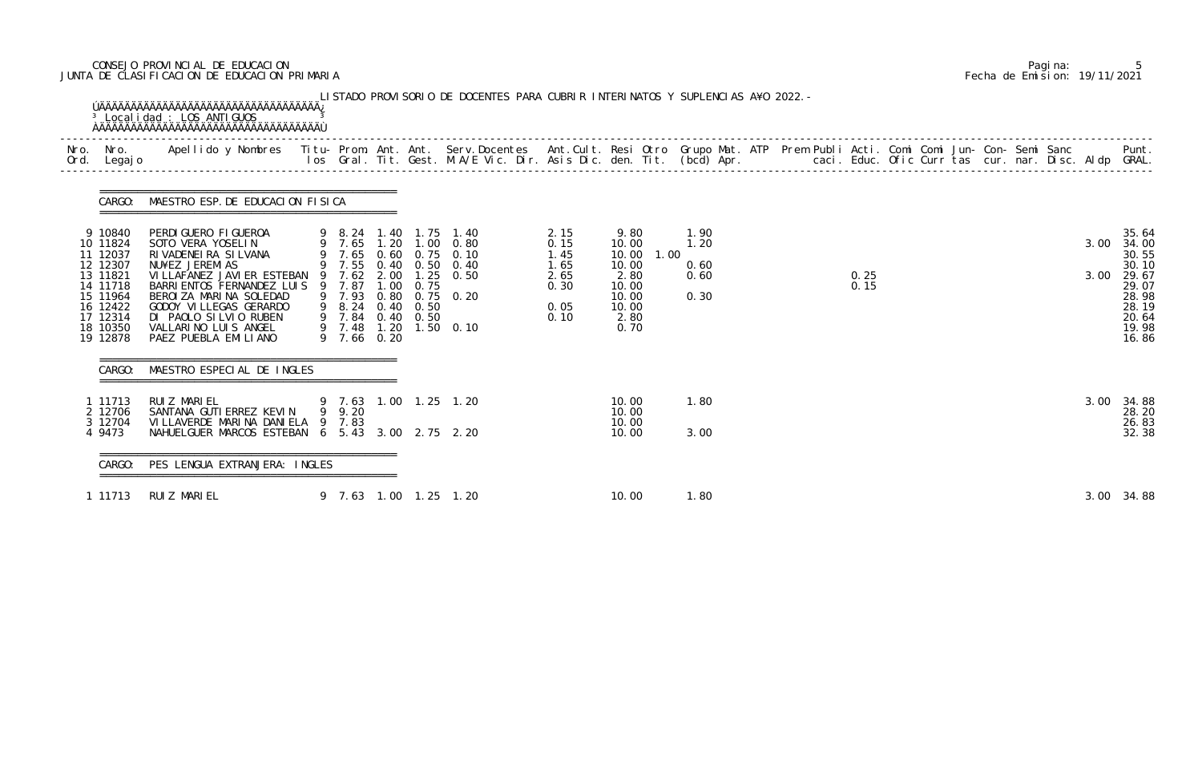## CONSEJO PROVINCIAL DE EDUCACION Pagina: 5 JUNTA DE CLASIFICACION DE EDUCACION PRIMARIA Fecha de Emision: 19/11/2021

| CARGO:                                                                                                                          | MAESTRO ESP. DE EDUCACION FISICA                                                                                                                                                                                                                                                                            |                                           |      |                   |                                                                                                                                                    |                                                              |                                                                                    |      |                                      |  |              |  |  |  |              |                                                                                                 |
|---------------------------------------------------------------------------------------------------------------------------------|-------------------------------------------------------------------------------------------------------------------------------------------------------------------------------------------------------------------------------------------------------------------------------------------------------------|-------------------------------------------|------|-------------------|----------------------------------------------------------------------------------------------------------------------------------------------------|--------------------------------------------------------------|------------------------------------------------------------------------------------|------|--------------------------------------|--|--------------|--|--|--|--------------|-------------------------------------------------------------------------------------------------|
| 9 10840<br>10 11824<br>11 12037<br>12 12307<br>13 11821<br>14 11718<br>15 11964<br>16 12422<br>17 12314<br>18 10350<br>19 12878 | PERDI GUERO FI GUEROA<br>SOTO VERA YOSELIN<br>RIVADENEIRA SILVANA<br>NU¥EZ JEREMIAS<br>VI LLAFANEZ JAVI ER ESTEBAN 9 7.62 2.00 1.25 0.50<br>BARRI ENTOS FERNANDEZ LUIS 9 7.87<br>BEROIZA MARINA SOLEDAD<br>GODOY VI LLEGAS GERARDO<br>DI PAOLO SILVIO RUBEN<br>VALLARINO LUIS ANGEL<br>PAEZ PUEBLA EMILIANO | 9 8.24<br>9 7.84 0.40 0.50<br>9 7.66 0.20 | 1.00 | 0.75<br>0.40 0.50 | 9 8.24 1.40 1.75 1.40<br>9 7.65 1.20 1.00 0.80<br>9 7.65 0.60 0.75 0.10<br>9 7.55 0.40 0.50 0.40<br>9 7.93 0.80 0.75 0.20<br>9 7.48 1.20 1.50 0.10 | 2.15<br>0.15<br>1.45<br>1.65<br>2.65<br>0.30<br>0.05<br>0.10 | 9.80<br>10.00<br>10.00<br>10.00<br>2.80<br>10.00<br>10.00<br>10.00<br>2.80<br>0.70 | 1.00 | 1.90<br>1.20<br>0.60<br>0.60<br>0.30 |  | 0.25<br>0.15 |  |  |  | 3.00<br>3.00 | 35.64<br>34.00<br>30.55<br>30.10<br>29.67<br>29.07<br>28.98<br>28.19<br>20.64<br>19.98<br>16.86 |
| CARGO:                                                                                                                          | MAESTRO ESPECIAL DE INGLES                                                                                                                                                                                                                                                                                  |                                           |      |                   |                                                                                                                                                    |                                                              |                                                                                    |      |                                      |  |              |  |  |  |              |                                                                                                 |
| 1 11713<br>2 12706<br>3 12704<br>4 9473                                                                                         | RUI Z MARI EL<br>SANTANA GUTI ERREZ KEVIN<br>VILLAVERDE MARINA DANIELA 9 7.83<br>NAHUELGUER MARCOS ESTEBAN 6 5.43 3.00 2.75 2.20                                                                                                                                                                            | 9 9.20                                    |      |                   | 9 7.63 1.00 1.25 1.20                                                                                                                              |                                                              | 10.00<br>10.00<br>10.00<br>10.00                                                   |      | 1.80<br>3.00                         |  |              |  |  |  | 3.00         | 34.88<br>28.20<br>26.83<br>32.38                                                                |
| CARGO:                                                                                                                          | PES LENGUA EXTRANJERA: INGLES                                                                                                                                                                                                                                                                               |                                           |      |                   |                                                                                                                                                    |                                                              |                                                                                    |      |                                      |  |              |  |  |  |              |                                                                                                 |
| 1 11713                                                                                                                         | RUIZ MARIEL                                                                                                                                                                                                                                                                                                 |                                           |      |                   | 9 7.63 1.00 1.25 1.20                                                                                                                              |                                                              | 10.00                                                                              |      | 1.80                                 |  |              |  |  |  |              | 3.00 34.88                                                                                      |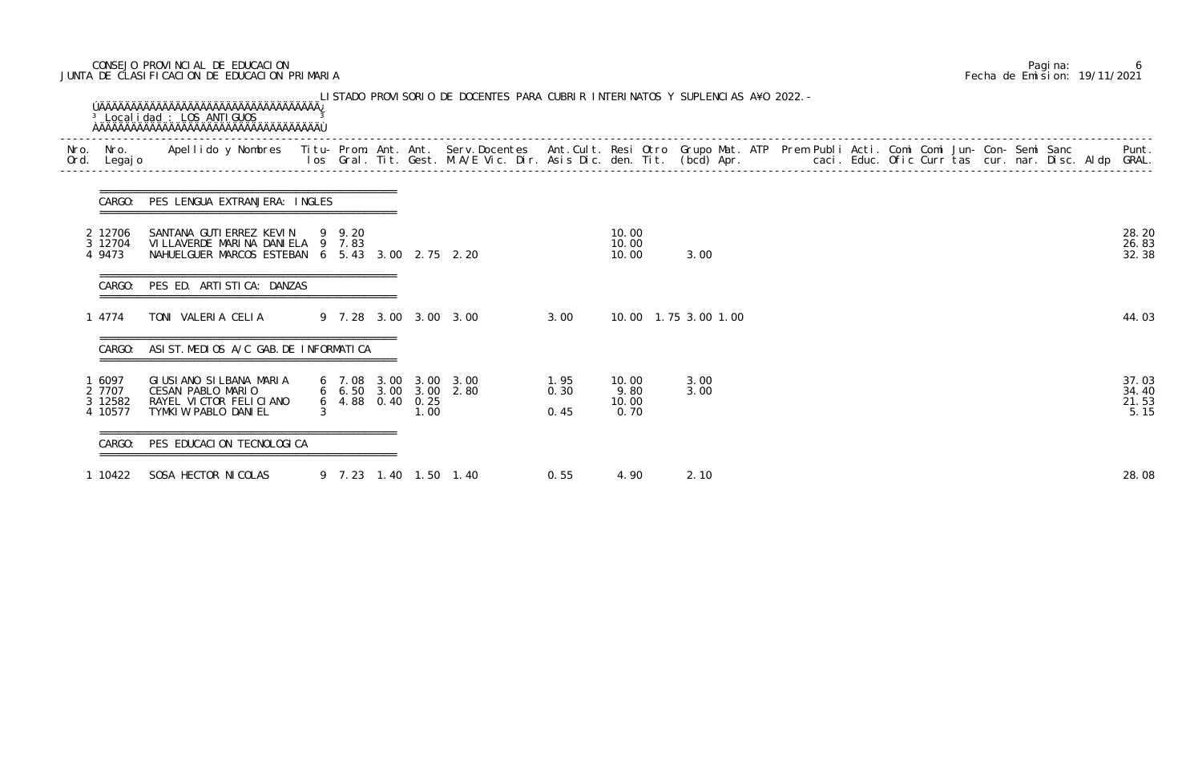## CONSEJO PROVINCIAL DE EDUCACION Pagina: 6 JUNTA DE CLASIFICACION DE EDUCACION PRIMARIA Fecha de Emision: 19/11/2021

| Nro.<br>Ord. | Legaj o                                | Nro.   Apellido y Nombres  Titu- Prom. Ant. Ant. Serv.Docentes  Ant.Cult. Resi Otro Grupo Mat. ATP  Prem Publi Acti. Comi Comi Jun- Con- Semi Sanc         Punt.<br>Legajo                        Ios  Gral. Tit. Gest. M.A/E Vic |                |        |                          |                                                |                       |                                |                         |  |  |  |  |  |                                 |
|--------------|----------------------------------------|-----------------------------------------------------------------------------------------------------------------------------------------------------------------------------------------------------------------------------------|----------------|--------|--------------------------|------------------------------------------------|-----------------------|--------------------------------|-------------------------|--|--|--|--|--|---------------------------------|
|              | CARGO:                                 | PES LENGUA EXTRANJERA: INGLES                                                                                                                                                                                                     |                |        |                          |                                                |                       |                                |                         |  |  |  |  |  |                                 |
|              | 2 12706<br>3 12704<br>4 9473           | SANTANA GUTI ERREZ KEVIN<br>VILLAVERDE MARINA DANIELA 9 7.83<br>NAHUELGUER MARCOS ESTEBAN 6 5.43 3.00 2.75 2.20                                                                                                                   |                | 9 9.20 |                          |                                                |                       | 10.00<br>10.00<br>10.00        | 3.00                    |  |  |  |  |  | 28.20<br>26.83<br>32.38         |
|              | CARGO:                                 | PES ED. ARTISTICA: DANZAS                                                                                                                                                                                                         |                |        |                          |                                                |                       |                                |                         |  |  |  |  |  |                                 |
|              | 1 4774                                 | TONI VALERIA CELIA                                                                                                                                                                                                                |                |        |                          | 9 7.28 3.00 3.00 3.00                          | 3.00                  |                                | 10.00  1.75  3.00  1.00 |  |  |  |  |  | 44.03                           |
|              | CARGO:                                 | ASIST. MEDIOS A/C GAB. DE INFORMATICA                                                                                                                                                                                             |                |        |                          |                                                |                       |                                |                         |  |  |  |  |  |                                 |
|              | 1 6097<br>2 7707<br>3 12582<br>4 10577 | GIUSIANO SILBANA MARIA<br>CESAN PABLO MARIO<br>RAYEL VICTOR FELICIANO<br>TYMKIW PABLO DANIEL                                                                                                                                      | 3 <sup>1</sup> |        | 6 4.88 0.40 0.25<br>1.00 | 6 7.08 3.00 3.00 3.00<br>6 6.50 3.00 3.00 2.80 | 1. 95<br>0.30<br>0.45 | 10.00<br>9.80<br>10.00<br>0.70 | 3.00<br>3.00            |  |  |  |  |  | 37.03<br>34.40<br>21.53<br>5.15 |
|              | CARGO:                                 | PES EDUCACION TECNOLOGICA                                                                                                                                                                                                         |                |        |                          |                                                |                       |                                |                         |  |  |  |  |  |                                 |
|              | 1 10422                                | SOSA HECTOR NI COLAS                                                                                                                                                                                                              |                |        |                          | 9 7.23 1.40 1.50 1.40                          | 0.55                  | 4.90                           | 2.10                    |  |  |  |  |  | 28.08                           |

|  | Pagi na: | 6                            |
|--|----------|------------------------------|
|  |          | Fecha de Emision: 19/11/2021 |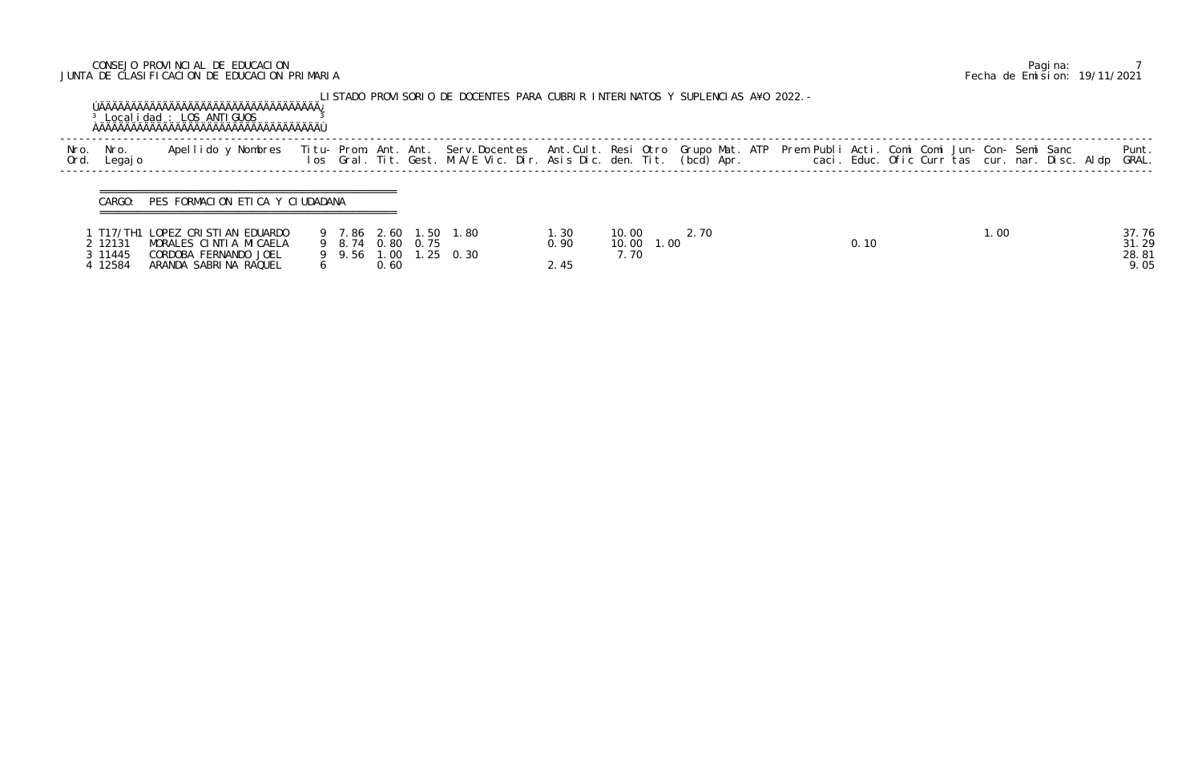## CONSEJO PROVINCIAL DE EDUCACION Pagina: 7 JUNTA DE CLASIFICACION DE EDUCACION PRIMARIA Fecha de Emision: 19/11/2021

|              |                 | <sup>3</sup> Localidad : LOS ANTIGUOS                             |             |  | LISTADO PROVISORIO DE DOCENTES PARA CUBRIR INTERINATOS Y SUPLENCIAS A¥O 2022. -                                                                                                                                                   |      |       |      |  |                                                |                |
|--------------|-----------------|-------------------------------------------------------------------|-------------|--|-----------------------------------------------------------------------------------------------------------------------------------------------------------------------------------------------------------------------------------|------|-------|------|--|------------------------------------------------|----------------|
| Nro.<br>Ord. | Nro.<br>Legaj o | Apellido y Nombres                                                |             |  | Titu- Prom. Ant. Ant. Serv.Docentes  Ant.Cult. Resi Otro Grupo Mat. ATP  Prem Publi Acti. Comi Comi Jun- Con- Semi Sanc<br>Ios  Gral. Tit. Gest. M.A/E Vic. Dir. Asis Dic. den. Tit. (bcd) Apr.                caci. Educ. Ofic C |      |       |      |  | caci. Educ. Ofic Curr tas cur. nar. Disc. Aldp | Punt.<br>GRAL. |
|              | CARGO:          | PES FORMACION ETICA Y CIUDADANA<br>T17/TH1 LOPEZ CRISTIAN EDUARDO | 9 7.86 2.60 |  | 1.50 1.80                                                                                                                                                                                                                         | 1.30 | 10.00 | 2.70 |  | 1.00                                           |                |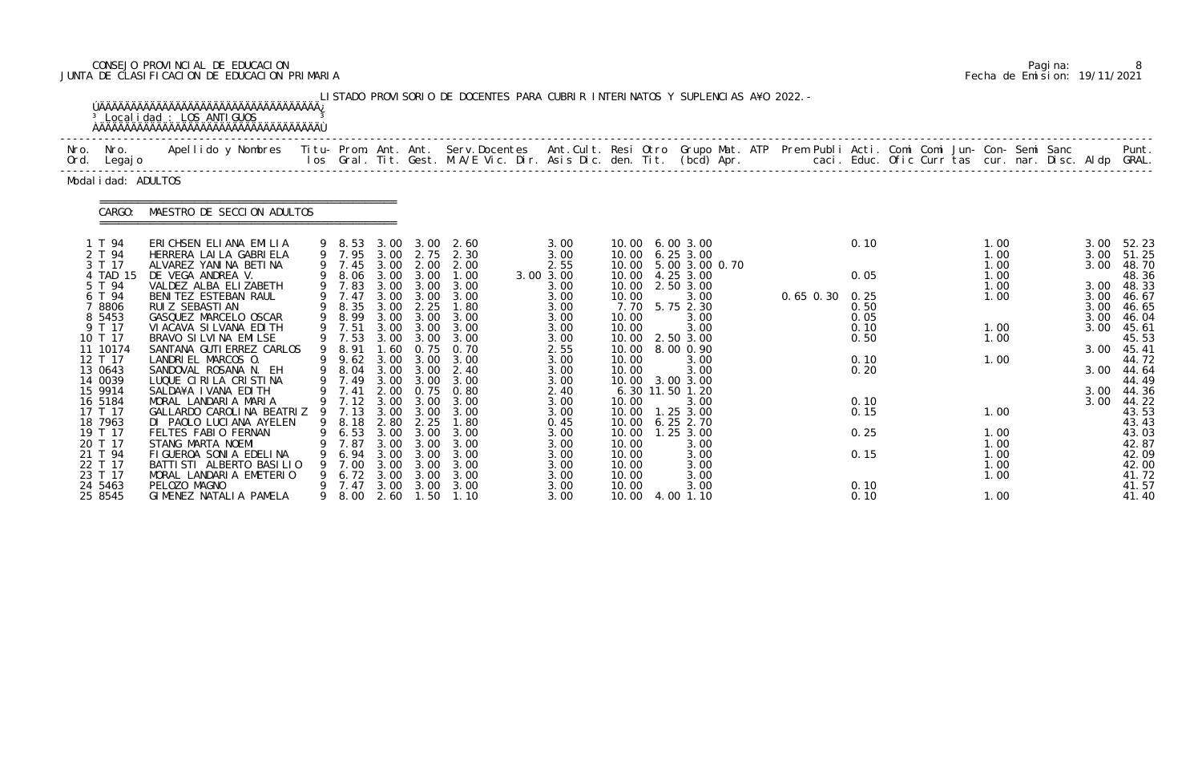## CONSEJO PROVINCIAL DE EDUCACION Pagina: 8 JUNTA DE CLASIFICACION DE EDUCACION PRIMARIA Fecha de Emision: 19/11/2021

|              |                                                                                                                                                                                                                                          | <sup>3</sup> Local i dad : LOS ANTI GUOS<br><b>AAAAAAAAAAAAAAAAAAAAAAAAAAAAAAAAAAAA</b>                                                                                                                                                                                                                                                                                                                                                                                                                                                                                       |   |                                                                                                                                                                                                  |                                                                                                                                                              |                                                                                                                                                              | LISTADO PROVISORIO DE DOCENTES PARA CUBRIR INTERINATOS Y SUPLENCIAS A¥O 2022. -                                                                                                                         |                                                                                                                                                                                   |                                                                                                                                                                                          |                                                                                                                                                                                                                                                       |                      |                                                                                              |  |                                                                                                              |  |                                                                                              |                                                                                                                                                                                                     |
|--------------|------------------------------------------------------------------------------------------------------------------------------------------------------------------------------------------------------------------------------------------|-------------------------------------------------------------------------------------------------------------------------------------------------------------------------------------------------------------------------------------------------------------------------------------------------------------------------------------------------------------------------------------------------------------------------------------------------------------------------------------------------------------------------------------------------------------------------------|---|--------------------------------------------------------------------------------------------------------------------------------------------------------------------------------------------------|--------------------------------------------------------------------------------------------------------------------------------------------------------------|--------------------------------------------------------------------------------------------------------------------------------------------------------------|---------------------------------------------------------------------------------------------------------------------------------------------------------------------------------------------------------|-----------------------------------------------------------------------------------------------------------------------------------------------------------------------------------|------------------------------------------------------------------------------------------------------------------------------------------------------------------------------------------|-------------------------------------------------------------------------------------------------------------------------------------------------------------------------------------------------------------------------------------------------------|----------------------|----------------------------------------------------------------------------------------------|--|--------------------------------------------------------------------------------------------------------------|--|----------------------------------------------------------------------------------------------|-----------------------------------------------------------------------------------------------------------------------------------------------------------------------------------------------------|
| Nro.<br>Ord. | Nro.<br>Legaj o                                                                                                                                                                                                                          | Apellido y Nombres - Titu- Prom. Ant. Ant. Serv.Docentes - Ant.Cult. Resi Otro Grupo Mat. ATP - Prem Publi Acti. Comi Comi Jun- Con- Semi Sanc                                                                                                                                                                                                                                                                                                                                                                                                                                |   |                                                                                                                                                                                                  |                                                                                                                                                              |                                                                                                                                                              | los Gral. Tit. Gest. M.A/E Vic. Dir. Asis Dic. den. Tit. (bcd) Apr.        caci. Educ. Ofic Curr tas cur. nar. Disc. Aldp GRAL.                                                                         |                                                                                                                                                                                   |                                                                                                                                                                                          |                                                                                                                                                                                                                                                       |                      |                                                                                              |  |                                                                                                              |  |                                                                                              | Punt.                                                                                                                                                                                               |
|              | Modal i dad: ADULTOS                                                                                                                                                                                                                     |                                                                                                                                                                                                                                                                                                                                                                                                                                                                                                                                                                               |   |                                                                                                                                                                                                  |                                                                                                                                                              |                                                                                                                                                              |                                                                                                                                                                                                         |                                                                                                                                                                                   |                                                                                                                                                                                          |                                                                                                                                                                                                                                                       |                      |                                                                                              |  |                                                                                                              |  |                                                                                              |                                                                                                                                                                                                     |
|              | CARGO:                                                                                                                                                                                                                                   | MAESTRO DE SECCION ADULTOS                                                                                                                                                                                                                                                                                                                                                                                                                                                                                                                                                    |   |                                                                                                                                                                                                  |                                                                                                                                                              |                                                                                                                                                              |                                                                                                                                                                                                         |                                                                                                                                                                                   |                                                                                                                                                                                          |                                                                                                                                                                                                                                                       |                      |                                                                                              |  |                                                                                                              |  |                                                                                              |                                                                                                                                                                                                     |
|              | 1 T 94<br>2 T 94<br>3 T 17<br>4 TAD 15<br>5 T 94<br>6 T 94<br>7 8806<br>8 5453<br>9 T 17<br>10 T 17<br>11 10174<br>12 T 17<br>13 0643<br>14 0039<br>15 9914<br>16 5184<br>17 T 17<br>18 7963<br>19 T 17<br>20 T 17<br>21 T 94<br>22 T 17 | ERICHSEN ELIANA EMILIA<br>HERRERA LAI LA GABRI ELA<br>ALVAREZ YANINA BETINA<br>DE VEGA ANDREA V.<br>VALDEZ ALBA ELIZABETH<br>BENITEZ ESTEBAN RAUL<br>RUI Z SEBASTI AN<br>GASQUEZ MARCELO OSCAR<br>VI ACAVA SI LVANA EDI TH<br>BRAVO SI LVI NA EMI LSE<br>SANTANA GUTI ERREZ CARLOS<br>LANDRIEL MARCOS 0.<br>SANDOVAL ROSANA N. EH<br>LUQUE CIRILA CRISTINA<br>SALDA¥A I VANA EDITH<br>MORAL LANDARIA MARIA<br>GALLARDO CAROLINA BEATRIZ 9 7.13<br>DI PAOLO LUCIANA AYELEN<br>FELTES FABIO FERNAN<br>STANG MARTA NOEMI<br>FIGUEROA SONIA EDELINA<br>BATTI STI ALBERTO BASI LIO |   | 9 8.53<br>9 7.45<br>8.06<br>9 7.83<br>9 7.47<br>9 8.35<br>9 8.99<br>9 7.51<br>9 7.53<br>9 8.91<br>$9 \quad 9.62$<br>8.04<br>9 7.49<br>9 7.41<br>9 7.12<br>9 8.18<br>6.53<br>7.87<br>6.94<br>7.00 | 3.00<br>3.00<br>3.00<br>3.00<br>3.00<br>3.00<br>3.00<br>3.00<br>3.00<br>1.60<br>3.00<br>3.00<br>3.00<br>3.00<br>3.00<br>2.80<br>3.00<br>3.00<br>3.00<br>3.00 | 3.00<br>2.00<br>3.00<br>3.00<br>3.00<br>2.25<br>3.00<br>3.00<br>3.00<br>0.75<br>3.00<br>3.00<br>3.00<br>3.00<br>3.00<br>2.25<br>3.00<br>3.00<br>3.00<br>3.00 | 2.60<br>9 7.95 3.00 2.75 2.30<br>2.00<br>1.00<br>3.00<br>3.00<br>1.80<br>3.00<br>3.00<br>3.00<br>0.70<br>3.00<br>2.40<br>3.00<br>2.00 0.75 0.80<br>3.00<br>3.00<br>1.80<br>3.00<br>3.00<br>3.00<br>3.00 | 3.00<br>3.00<br>2.55<br>3.00 3.00<br>3.00<br>3.00<br>3.00<br>3.00<br>3.00<br>3.00<br>2.55<br>3.00<br>3.00<br>3.00<br>2.40<br>3.00<br>3.00<br>0.45<br>3.00<br>3.00<br>3.00<br>3.00 | 10.00<br>10.00<br>10.00<br>10.00<br>10.00<br>10.00<br>7.70<br>10.00<br>10.00<br>10.00<br>10.00<br>10.00<br>10.00<br>10.00<br>10.00<br>10.00<br>10.00<br>10.00<br>10.00<br>10.00<br>10.00 | 6.003.00<br>6.253.00<br>5.00 3.00 0.70<br>4.25 3.00<br>2.50 3.00<br>3.00<br>5.75 2.30<br>3.00<br>3.00<br>2.50 3.00<br>8.00 0.90<br>3.00<br>3.00<br>3.00 3.00<br>6.30 11.50 1.20<br>3.00<br>1.25 3.00<br>6.252.70<br>1.25 3.00<br>3.00<br>3.00<br>3.00 | $0.65$ $0.30$ $0.25$ | 0.10<br>0.05<br>0.50<br>0.05<br>0.10<br>0.50<br>0.10<br>0.20<br>0.10<br>0.15<br>0.25<br>0.15 |  | 1.00<br>1.00<br>1.00<br>1.00<br>1.00<br>1.00<br>1.00<br>1.00<br>1.00<br>1.00<br>1.00<br>1.00<br>1.00<br>1.00 |  | 3.00<br>3.00<br>3.00<br>3.00<br>3.00<br>3.00<br>3.00<br>3.00<br>3.00<br>3.00<br>3.00<br>3.00 | 52.23<br>51.25<br>48.70<br>48.36<br>48.33<br>46.67<br>46.65<br>46. 04<br>45.61<br>45.53<br>45.41<br>44.72<br>44.64<br>44.49<br>44.36<br>44.22<br>43.53<br>43.43<br>43.03<br>42.87<br>42.09<br>42.00 |
|              | 23 T 17<br>24 5463<br>25 8545                                                                                                                                                                                                            | MORAL LANDARIA EMETERIO<br>PELOZO MAGNO<br>GIMENEZ NATALIA PAMELA                                                                                                                                                                                                                                                                                                                                                                                                                                                                                                             | 9 | 6.72<br>7.47<br>8.00                                                                                                                                                                             | 3.00<br>3.00<br>2.60                                                                                                                                         | 3.00<br>3.00<br>1.50                                                                                                                                         | 3.00<br>3.00<br>1.10                                                                                                                                                                                    | 3.00<br>3.00<br>3.00                                                                                                                                                              | 10.00<br>10.00<br>10.00                                                                                                                                                                  | 3.00<br>3.00<br>4.00 1.10                                                                                                                                                                                                                             |                      | 0.10<br>0.10                                                                                 |  | 1.00<br>1.00                                                                                                 |  |                                                                                              | 41.72<br>41.57<br>41.40                                                                                                                                                                             |

|  | Pagi na: |                              |
|--|----------|------------------------------|
|  |          | Fecha de Emision: 19/11/2021 |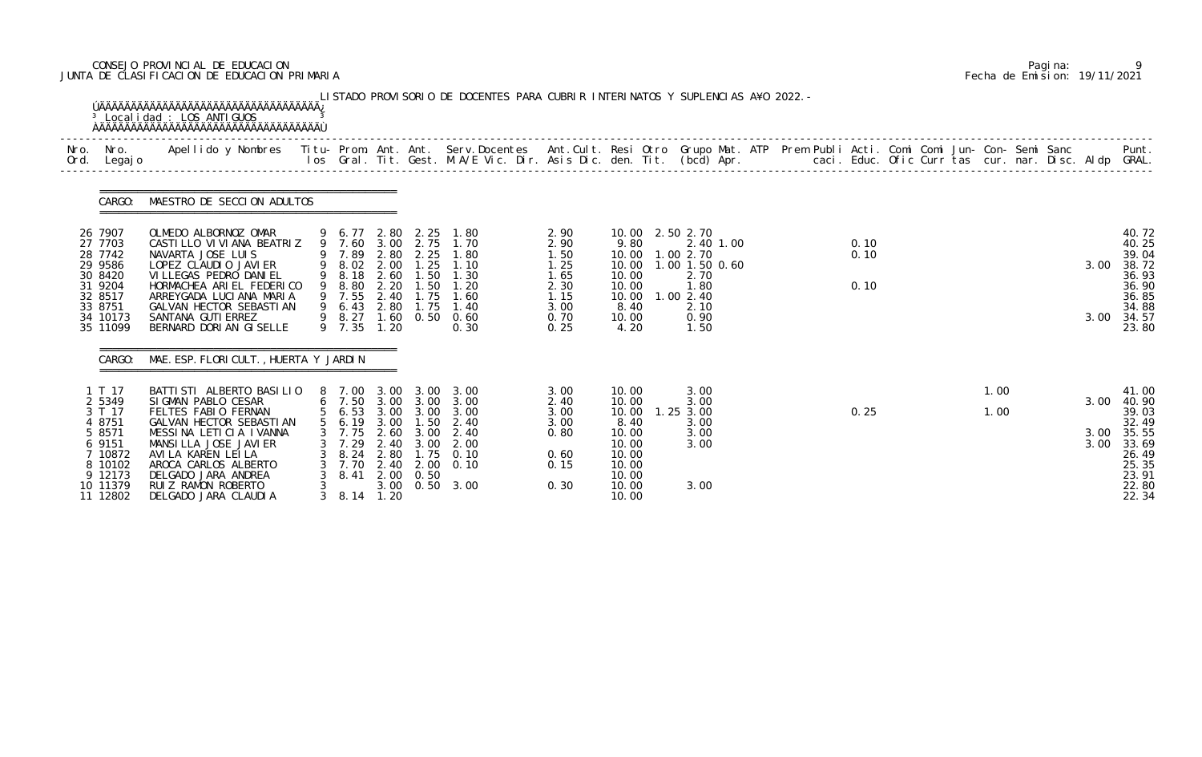## CONSEJO PROVINCIAL DE EDUCACION Pagina: 9 JUNTA DE CLASIFICACION DE EDUCACION PRIMARIA Fecha de Emision: 19/11/2021

|                                                       | <b>OAAAAAAAAAAAAAAAAAAAAAAAAAAAAAAAAAA</b>                                                                                      |                                                               |                              |                                           |                                                                                                                           |                                      |                                           |                                                                             |  |              |  |              |  |      |                                                |
|-------------------------------------------------------|---------------------------------------------------------------------------------------------------------------------------------|---------------------------------------------------------------|------------------------------|-------------------------------------------|---------------------------------------------------------------------------------------------------------------------------|--------------------------------------|-------------------------------------------|-----------------------------------------------------------------------------|--|--------------|--|--------------|--|------|------------------------------------------------|
| Ord. Legajo                                           |                                                                                                                                 |                                                               |                              |                                           |                                                                                                                           |                                      |                                           |                                                                             |  |              |  |              |  |      |                                                |
| CARGO:                                                | MAESTRO DE SECCION ADULTOS                                                                                                      |                                                               |                              |                                           |                                                                                                                           |                                      |                                           |                                                                             |  |              |  |              |  |      |                                                |
| 26 7907<br>27 7703<br>28 7742<br>29 9586<br>30 8420   | OLMEDO ALBORNOZ OMAR<br>CASTILLO VI VI ANA BEATRIZ<br>NAVARTA JOSE LUIS<br>LOPEZ CLAUDIO JAVIER<br>VI LLEGAS PEDRO DANI EL      |                                                               |                              |                                           | 9 6.77 2.80 2.25 1.80<br>9 7.60 3.00 2.75 1.70<br>9 7.89 2.80 2.25 1.80<br>9 8.02 2.00 1.25 1.10<br>9 8.18 2.60 1.50 1.30 | 2.90<br>2.90<br>1.50<br>1.25<br>1.65 | 9.80<br>10.00<br>10.00                    | 10.00 2.50 2.70<br>2.40 1.00<br>10.00  1.00  2.70<br>1.00 1.50 0.60<br>2.70 |  | 0.10<br>0.10 |  |              |  | 3.00 | 40.72<br>40.25<br>39.04<br>38.72<br>36.93      |
| 31 9204<br>32 8517<br>33 8751<br>34 10173<br>35 11099 | HORMACHEA ARIEL FEDERICO<br>ARREYGADA LUCIANA MARIA<br>GALVAN HECTOR SEBASTIAN<br>SANTANA GUTI ERREZ<br>BERNARD DORI AN GISELLE | 9 8.80 2.20<br>9 7.55 2.40 1.75<br>9 6.43 2.80 1.75<br>9 7.35 | 1.20                         | 1.50                                      | 1.20<br>1.60<br>1.40<br>9 8.27 1.60 0.50 0.60<br>0.30                                                                     | 2.30<br>1.15<br>3.00<br>0.70<br>0.25 | 10.00<br>8.40<br>10.00<br>4.20            | 1.80<br>10.00  1.00  2.40<br>2.10<br>0.90<br>1.50                           |  | 0.10         |  |              |  | 3.00 | 36.90<br>36.85<br>34.88<br>34.57<br>23.80      |
|                                                       | CARGO: MAE. ESP. FLORI CULT., HUERTA Y JARDIN                                                                                   |                                                               |                              |                                           |                                                                                                                           |                                      |                                           |                                                                             |  |              |  |              |  |      |                                                |
| 1 T 17<br>2 5349<br>3 T 17<br>4 8751                  | BATTI STI ALBERTO BASI LI 0<br>SIGMAN PABLO CESAR<br>FELTES FABIO FERNAN<br>GALVAN HECTOR SEBASTIAN                             | 5 6.19 3.00 1.50                                              |                              |                                           | 8 7.00 3.00 3.00 3.00<br>6 7.50 3.00 3.00 3.00<br>5 6.53 3.00 3.00 3.00<br>2.40                                           | 3.00<br>2.40<br>3.00<br>3.00         | 10.00<br>10.00<br>10.00<br>8.40           | 3.00<br>3.00<br>$1.25$ 3.00<br>3.00                                         |  | 0.25         |  | 1.00<br>1.00 |  | 3.00 | 41.00<br>40.90<br>39.03<br>32.49               |
| 5 8571<br>6 9151<br>7 10872<br>8 10102<br>9 12173     | MESSINA LETICIA IVANNA<br>MANSILLA JOSE JAVIER<br>AVI LA KAREN LEI LA<br>AROCA CARLOS ALBERTO<br>DELGADO JARA ANDREA            | 7.75<br>7.29<br>8.24<br>7.70<br>8.41                          | 2.60<br>2.40<br>2.80<br>2.40 | 3.00<br>3.00<br>1.75<br>2.00<br>2.00 0.50 | 2.40<br>2.00<br>0.10<br>0.10                                                                                              | 0.80<br>0.60<br>0.15                 | 10.00<br>10.00<br>10.00<br>10.00<br>10.00 | 3.00<br>3.00                                                                |  |              |  |              |  | 3.00 | 3.00 35.55<br>33.69<br>26.49<br>25.35<br>23.91 |
| 10 11379<br>11 12802                                  | RUIZ RAMON ROBERTO<br>DELGADO JARA CLAUDIA                                                                                      | $3\quad 8.14$                                                 | 1.20                         |                                           | 3.00 0.50 3.00                                                                                                            | 0.30                                 | 10.00<br>10.00                            | 3.00                                                                        |  |              |  |              |  |      | 22.80<br>22.34                                 |

|  | Pagi na: |                              |
|--|----------|------------------------------|
|  |          | Fecha de Emision: 19/11/2021 |